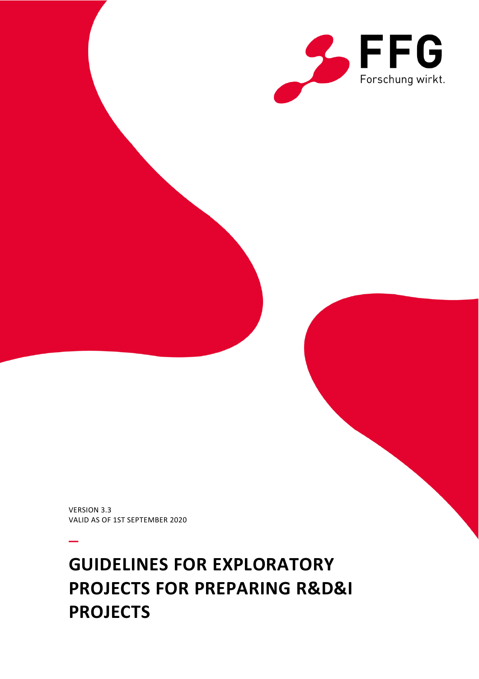

VERSION 3.3 VALID AS OF 1ST SEPTEMBER 2020

–

# **GUIDELINES FOR EXPLORATORY PROJECTS FOR PREPARING R&D&I PROJECTS**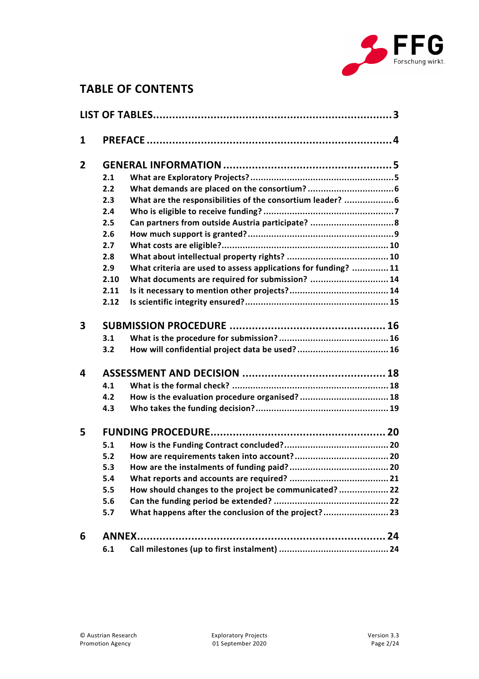

# **TABLE OF CONTENTS**

| 1                       |      |                                                                |  |
|-------------------------|------|----------------------------------------------------------------|--|
| $\overline{2}$          |      |                                                                |  |
|                         | 2.1  |                                                                |  |
|                         | 2.2  |                                                                |  |
|                         | 2.3  | What are the responsibilities of the consortium leader?  6     |  |
|                         | 2.4  |                                                                |  |
|                         | 2.5  | Can partners from outside Austria participate?  8              |  |
|                         | 2.6  |                                                                |  |
|                         | 2.7  |                                                                |  |
|                         | 2.8  |                                                                |  |
|                         | 2.9  | What criteria are used to assess applications for funding?  11 |  |
|                         | 2.10 | What documents are required for submission?  14                |  |
|                         | 2.11 |                                                                |  |
|                         | 2.12 |                                                                |  |
| 3                       |      |                                                                |  |
|                         | 3.1  |                                                                |  |
|                         | 3.2  |                                                                |  |
| $\overline{\mathbf{A}}$ |      |                                                                |  |
|                         | 4.1  |                                                                |  |
|                         | 4.2  | How is the evaluation procedure organised?  18                 |  |
|                         | 4.3  |                                                                |  |
| 5                       |      |                                                                |  |
|                         | 5.1  |                                                                |  |
|                         | 5.2  |                                                                |  |
|                         | 5.3  |                                                                |  |
|                         | 5.4  |                                                                |  |
|                         | 5.5  | How should changes to the project be communicated?  22         |  |
|                         | 5.6  |                                                                |  |
|                         | 5.7  | What happens after the conclusion of the project? 23           |  |
| 6                       |      |                                                                |  |
|                         | 6.1  |                                                                |  |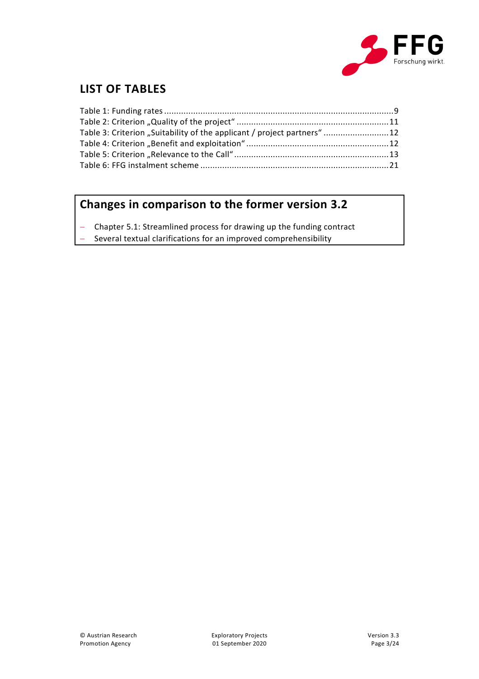

# <span id="page-2-0"></span>**LIST OF TABLES**

| Table 3: Criterion "Suitability of the applicant / project partners" 12 |  |
|-------------------------------------------------------------------------|--|
|                                                                         |  |
|                                                                         |  |
|                                                                         |  |

# **Changes in comparison to the former version 3.2**

Chapter 5.1: Streamlined process for drawing up the funding contract

Several textual clarifications for an improved comprehensibility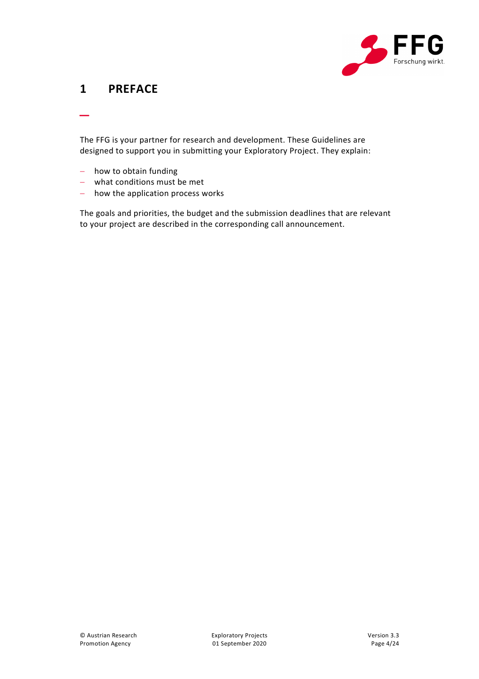

## <span id="page-3-0"></span>**1 PREFACE**

\_

The FFG is your partner for research and development. These Guidelines are designed to support you in submitting your Exploratory Project. They explain:

- how to obtain funding
- what conditions must be met
- how the application process works

The goals and priorities, the budget and the submission deadlines that are relevant to your project are described in the corresponding call announcement.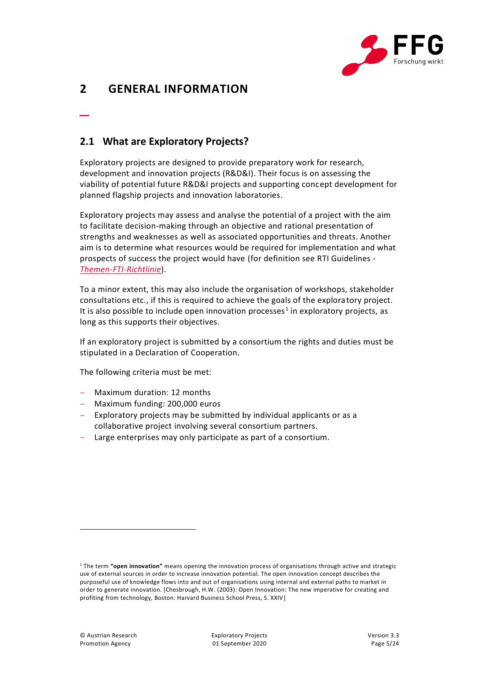

# <span id="page-4-0"></span>**2 GENERAL INFORMATION**

\_

#### <span id="page-4-1"></span>**2.1 What are Exploratory Projects?**

Exploratory projects are designed to provide preparatory work for research, development and innovation projects (R&D&I). Their focus is on assessing the viability of potential future R&D&I projects and supporting concept development for planned flagship projects and innovation laboratories.

Exploratory projects may assess and analyse the potential of a project with the aim to facilitate decision-making through an objective and rational presentation of strengths and weaknesses as well as associated opportunities and threats. Another aim is to determine what resources would be required for implementation and what prospects of success the project would have (for definition see RTI Guidelines - *[Themen-FTI-Richtlinie](https://www.ffg.at/sites/default/files/downloads/page/richtlinie_fti_2015_themen.pdf)*).

To a minor extent, this may also include the organisation of workshops, stakeholder consultations etc., if this is required to achieve the goals of the exploratory project. It is also possible to include open innovation processes<sup>1</sup> in exploratory projects, as long as this supports their objectives.

If an exploratory project is submitted by a consortium the rights and duties must be stipulated in a Declaration of Cooperation.

The following criteria must be met:

- Maximum duration: 12 months
- Maximum funding: 200,000 euros
- Exploratory projects may be submitted by individual applicants or as a collaborative project involving several consortium partners.
- Large enterprises may only participate as part of a consortium.

 $\overline{a}$ 

<sup>1</sup> The term **"open innovation"** means opening the innovation process of organisations through active and strategic use of external sources in order to increase innovation potential. The open innovation concept describes the purposeful use of knowledge flows into and out of organisations using internal and external paths to market in order to generate innovation. [Chesbrough, H.W. (2003): Open Innovation: The new imperative for creating and profiting from technology, Boston: Harvard Business School Press, S. XXIV]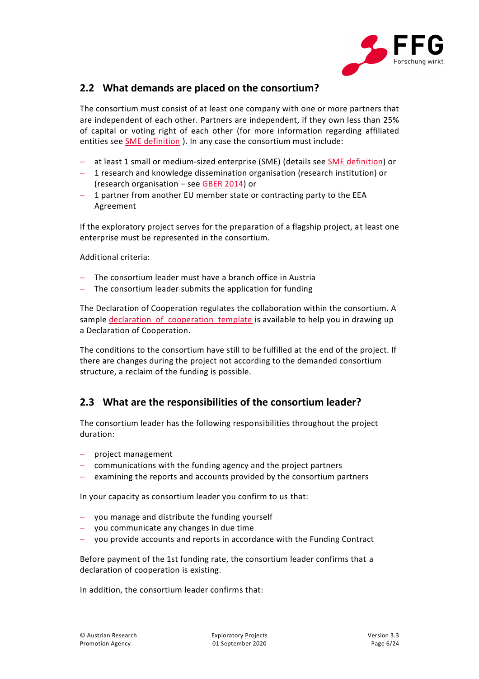

#### <span id="page-5-0"></span>**2.2 What demands are placed on the consortium?**

The consortium must consist of at least one company with one or more partners that are independent of each other. Partners are independent, if they own less than 25% of capital or voting right of each other (for more information regarding affiliated entities see **SME** definition ). In any case the consortium must include:

- at least 1 small or medium-sized enterprise (SME) (details see [SME definition\)](https://www.ffg.at/recht-finanzen/rechtliches_service_KMU) or
- 1 research and knowledge dissemination organisation (research institution) or (research organisation – see [GBER 2014\)](https://eur-lex.europa.eu/legal-content/EN/TXT/PDF/?uri=CELEX:32014R0651&from=DE) or
- 1 partner from another EU member state or contracting party to the EEA Agreement

If the exploratory project serves for the preparation of a flagship project, at least one enterprise must be represented in the consortium.

Additional criteria:

- The consortium leader must have a branch office in Austria
- The consortium leader submits the application for funding

The Declaration of Cooperation regulates the collaboration within the consortium. A sample declaration of cooperation template is available to help you in drawing up a Declaration of Cooperation.

The conditions to the consortium have still to be fulfilled at the end of the project. If there are changes during the project not according to the demanded consortium structure, a reclaim of the funding is possible.

#### <span id="page-5-1"></span>**2.3 What are the responsibilities of the consortium leader?**

The consortium leader has the following responsibilities throughout the project duration:

- project management
- communications with the funding agency and the project partners
- examining the reports and accounts provided by the consortium partners

In your capacity as consortium leader you confirm to us that:

- you manage and distribute the funding yourself
- you communicate any changes in due time
- you provide accounts and reports in accordance with the Funding Contract

Before payment of the 1st funding rate, the consortium leader confirms that a declaration of cooperation is existing.

In addition, the consortium leader confirms that: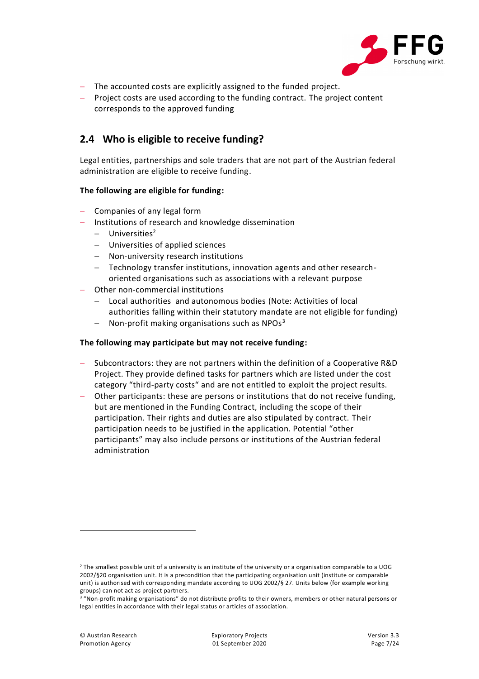

- The accounted costs are explicitly assigned to the funded project.
- Project costs are used according to the funding contract. The project content corresponds to the approved funding

#### <span id="page-6-0"></span>**2.4 Who is eligible to receive funding?**

Legal entities, partnerships and sole traders that are not part of the Austrian federal administration are eligible to receive funding.

#### **The following are eligible for funding:**

- Companies of any legal form
- Institutions of research and knowledge dissemination
	- $-$  Universities<sup>2</sup>
	- Universities of applied sciences
	- Non-university research institutions
	- Technology transfer institutions, innovation agents and other researchoriented organisations such as associations with a relevant purpose
- Other non-commercial institutions
	- Local authorities and autonomous bodies (Note: Activities of local authorities falling within their statutory mandate are not eligible for funding)
	- Non-profit making organisations such as  $NPOs<sup>3</sup>$

#### **The following may participate but may not receive funding:**

- Subcontractors: they are not partners within the definition of a Cooperative R&D Project. They provide defined tasks for partners which are listed under the cost category "third-party costs" and are not entitled to exploit the project results.
- Other participants: these are persons or institutions that do not receive funding, but are mentioned in the Funding Contract, including the scope of their participation. Their rights and duties are also stipulated by contract. Their participation needs to be justified in the application. Potential "other participants" may also include persons or institutions of the Austrian federal administration

 $\overline{a}$ 

<sup>&</sup>lt;sup>2</sup> The smallest possible unit of a university is an institute of the university or a organisation comparable to a UOG 2002/§20 organisation unit. It is a precondition that the participating organisation unit (institute or comparable unit) is authorised with corresponding mandate according to UOG 2002/§ 27. Units below (for example working groups) can not act as project partners.

<sup>&</sup>lt;sup>3</sup> "Non-profit making organisations" do not distribute profits to their owners, members or other natural persons or legal entities in accordance with their legal status or articles of association.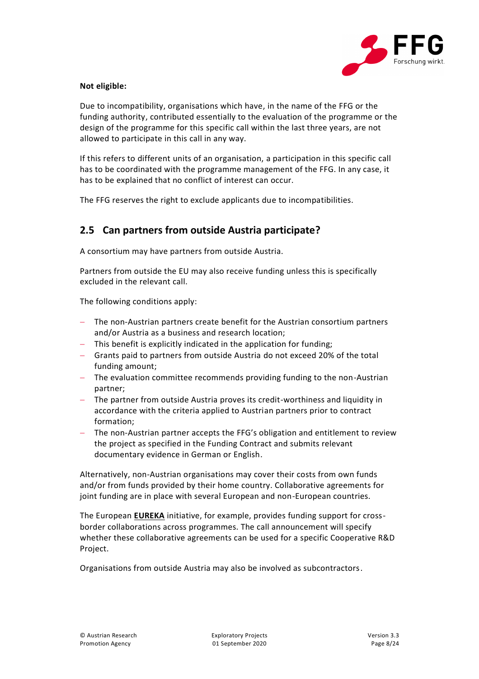

#### **Not eligible:**

Due to incompatibility, organisations which have, in the name of the FFG or the funding authority, contributed essentially to the evaluation of the programme or the design of the programme for this specific call within the last three years, are not allowed to participate in this call in any way.

If this refers to different units of an organisation, a participation in this specific call has to be coordinated with the programme management of the FFG. In any case, it has to be explained that no conflict of interest can occur.

The FFG reserves the right to exclude applicants due to incompatibilities.

#### <span id="page-7-0"></span>**2.5 Can partners from outside Austria participate?**

A consortium may have partners from outside Austria.

Partners from outside the EU may also receive funding unless this is specifically excluded in the relevant call.

The following conditions apply:

- The non-Austrian partners create benefit for the Austrian consortium partners and/or Austria as a business and research location;
- This benefit is explicitly indicated in the application for funding;
- Grants paid to partners from outside Austria do not exceed 20% of the total funding amount;
- The evaluation committee recommends providing funding to the non-Austrian partner;
- The partner from outside Austria proves its credit-worthiness and liquidity in accordance with the criteria applied to Austrian partners prior to contract formation;
- The non-Austrian partner accepts the FFG's obligation and entitlement to review the project as specified in the Funding Contract and submits relevant documentary evidence in German or English.

Alternatively, non-Austrian organisations may cover their costs from own funds and/or from funds provided by their home country. Collaborative agreements for joint funding are in place with several European and non-European countries.

The European **[EUREKA](https://www.ffg.at/europa/eureka)** initiative, for example, provides funding support for crossborder collaborations across programmes. The call announcement will specify whether these collaborative agreements can be used for a specific Cooperative R&D Project.

Organisations from outside Austria may also be involved as subcontractors.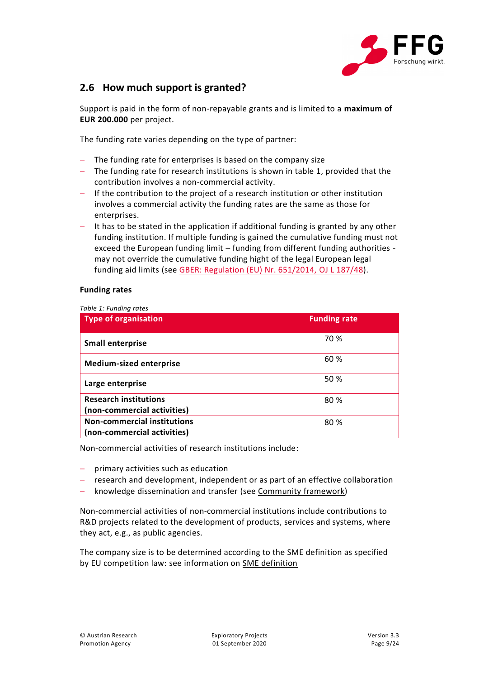

#### <span id="page-8-0"></span>**2.6 How much support is granted?**

Support is paid in the form of non-repayable grants and is limited to a **maximum of EUR 200.000** per project.

The funding rate varies depending on the type of partner:

- The funding rate for enterprises is based on the company size
- The funding rate for research institutions is shown in table 1, provided that the contribution involves a non-commercial activity.
- $-I$  If the contribution to the project of a research institution or other institution involves a commercial activity the funding rates are the same as those for enterprises.
- It has to be stated in the application if additional funding is granted by any other funding institution. If multiple funding is gained the cumulative funding must not exceed the European funding limit – funding from different funding authorities may not override the cumulative funding hight of the legal European legal funding aid limits (see [GBER: Regulation \(EU\) Nr. 651/2014, OJ](https://eur-lex.europa.eu/legal-content/EN/TXT/PDF/?uri=CELEX:32014R0651&from=DE) L 187/48).

#### **Funding rates**

<span id="page-8-1"></span>*Table 1: Funding rates*

| <b>Type of organisation</b>                                       | <b>Funding rate</b> |
|-------------------------------------------------------------------|---------------------|
| <b>Small enterprise</b>                                           | 70 %                |
| <b>Medium-sized enterprise</b>                                    | 60 %                |
| Large enterprise                                                  | 50 %                |
| <b>Research institutions</b><br>(non-commercial activities)       | 80 %                |
| <b>Non-commercial institutions</b><br>(non-commercial activities) | 80 %                |

Non-commercial activities of research institutions include:

- $-$  primary activities such as education
- research and development, independent or as part of an effective collaboration
- knowledge dissemination and transfer (see [Community framework\)](https://eur-lex.europa.eu/legal-content/EN/TXT/PDF/?uri=CELEX:52014XC0627(01)&from=EN)

Non-commercial activities of non-commercial institutions include contributions to R&D projects related to the development of products, services and systems, where they act, e.g., as public agencies.

The company size is to be determined according to the SME definition as specified by EU competition law: see information on [SME definition](https://ec.europa.eu/regional_policy/sources/conferences/state-aid/sme/smedefinitionguide_en.pdf)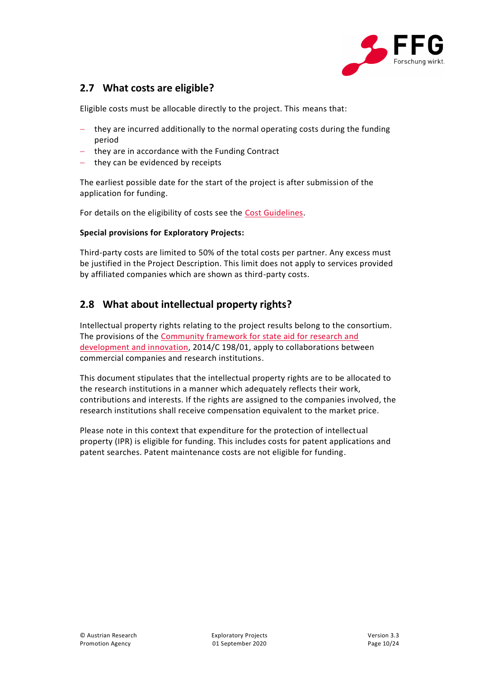

#### <span id="page-9-0"></span>**2.7 What costs are eligible?**

Eligible costs must be allocable directly to the project. This means that:

- $-$  they are incurred additionally to the normal operating costs during the funding period
- $-$  they are in accordance with the Funding Contract
- they can be evidenced by receipts

The earliest possible date for the start of the project is after submission of the application for funding.

For details on the eligibility of costs see the [Cost Guidelines.](https://www.ffg.at/recht-finanzen/kostenleitfaden)

#### **Special provisions for Exploratory Projects:**

Third-party costs are limited to 50% of the total costs per partner. Any excess must be justified in the Project Description. This limit does not apply to services provided by affiliated companies which are shown as third-party costs.

#### <span id="page-9-1"></span>**2.8 What about intellectual property rights?**

Intellectual property rights relating to the project results belong to the consortium. The provisions of the Community framework for state aid for research and [development and innovation,](https://eur-lex.europa.eu/legal-content/EN/TXT/PDF/?uri=CELEX:52014XC0627(01)&from=EN) 2014/C 198/01, apply to collaborations between commercial companies and research institutions.

This document stipulates that the intellectual property rights are to be allocated to the research institutions in a manner which adequately reflects their work, contributions and interests. If the rights are assigned to the companies involved, the research institutions shall receive compensation equivalent to the market price.

Please note in this context that expenditure for the protection of intellectual property (IPR) is eligible for funding. This includes costs for patent applications and patent searches. Patent maintenance costs are not eligible for funding.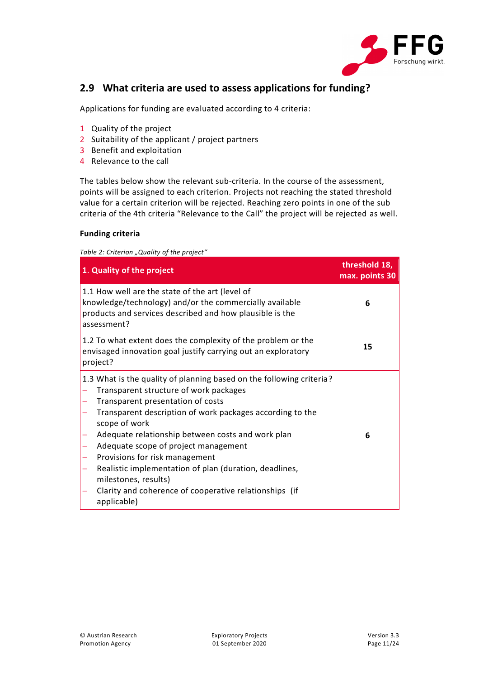

#### <span id="page-10-0"></span>**2.9 What criteria are used to assess applications for funding?**

Applications for funding are evaluated according to 4 criteria:

- 1 Quality of the project
- 2 Suitability of the applicant / project partners
- 3 Benefit and exploitation
- 4 Relevance to the call

The tables below show the relevant sub-criteria. In the course of the assessment, points will be assigned to each criterion. Projects not reaching the stated threshold value for a certain criterion will be rejected. Reaching zero points in one of the sub criteria of the 4th criteria "Relevance to the Call" the project will be rejected as well.

#### **Funding criteria**

<span id="page-10-1"></span>*Table 2: Criterion "Quality of the project"*

| 1. Quality of the project                                                                                                                                                                                                                                                                                                                                                                                                                                                                                                   | threshold 18,<br>max. points 30 |
|-----------------------------------------------------------------------------------------------------------------------------------------------------------------------------------------------------------------------------------------------------------------------------------------------------------------------------------------------------------------------------------------------------------------------------------------------------------------------------------------------------------------------------|---------------------------------|
| 1.1 How well are the state of the art (level of<br>knowledge/technology) and/or the commercially available<br>products and services described and how plausible is the<br>assessment?                                                                                                                                                                                                                                                                                                                                       | 6                               |
| 1.2 To what extent does the complexity of the problem or the<br>envisaged innovation goal justify carrying out an exploratory<br>project?                                                                                                                                                                                                                                                                                                                                                                                   | 15                              |
| 1.3 What is the quality of planning based on the following criteria?<br>Transparent structure of work packages<br>Transparent presentation of costs<br>Transparent description of work packages according to the<br>scope of work<br>Adequate relationship between costs and work plan<br>Adequate scope of project management<br>Provisions for risk management<br>Realistic implementation of plan (duration, deadlines,<br>milestones, results)<br>Clarity and coherence of cooperative relationships (if<br>applicable) | 6                               |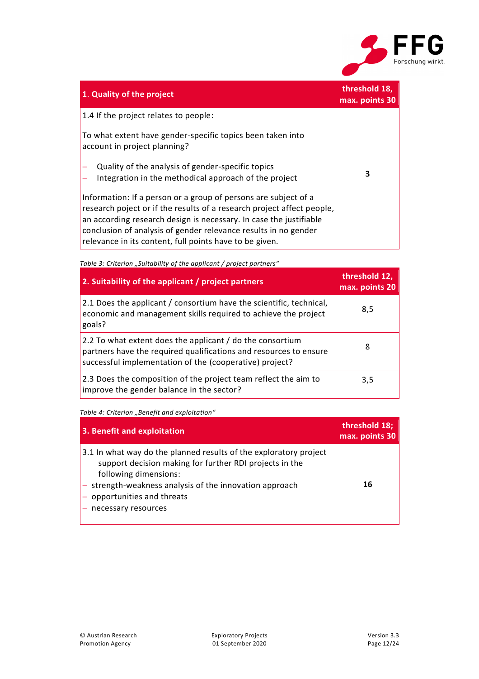

| 1. Quality of the project                                                                                                                                                                                                                                                                                                                     | threshold 18,<br>max. points 30 |
|-----------------------------------------------------------------------------------------------------------------------------------------------------------------------------------------------------------------------------------------------------------------------------------------------------------------------------------------------|---------------------------------|
| 1.4 If the project relates to people:                                                                                                                                                                                                                                                                                                         |                                 |
| To what extent have gender-specific topics been taken into<br>account in project planning?                                                                                                                                                                                                                                                    |                                 |
| Quality of the analysis of gender-specific topics<br>Integration in the methodical approach of the project                                                                                                                                                                                                                                    | 3                               |
| Information: If a person or a group of persons are subject of a<br>research poject or if the results of a research project affect people,<br>an according research design is necessary. In case the justifiable<br>conclusion of analysis of gender relevance results in no gender<br>relevance in its content, full points have to be given. |                                 |

<span id="page-11-0"></span>**Table 3***: Criterion "Suitability of the applicant / project partners"* 

| 2. Suitability of the applicant / project partners                                                                                                                                        | threshold 12,<br>max. points 20 |
|-------------------------------------------------------------------------------------------------------------------------------------------------------------------------------------------|---------------------------------|
| 2.1 Does the applicant / consortium have the scientific, technical,<br>economic and management skills required to achieve the project<br>goals?                                           | 8,5                             |
| 2.2 To what extent does the applicant / do the consortium<br>partners have the required qualifications and resources to ensure<br>successful implementation of the (cooperative) project? | 8                               |
| 2.3 Does the composition of the project team reflect the aim to<br>improve the gender balance in the sector?                                                                              | 3,5                             |

<span id="page-11-1"></span>**Table 4***:* Criterion "Benefit and exploitation"

| 3. Benefit and exploitation                                                                                                                                                                                                                                                                   | threshold 18;<br>max. points 30 |
|-----------------------------------------------------------------------------------------------------------------------------------------------------------------------------------------------------------------------------------------------------------------------------------------------|---------------------------------|
| 3.1 In what way do the planned results of the exploratory project<br>support decision making for further RDI projects in the<br>following dimensions:<br>$\vert$ - strength-weakness analysis of the innovation approach<br>$\sim$ opportunities and threats<br>$\vert$ – necessary resources | 16                              |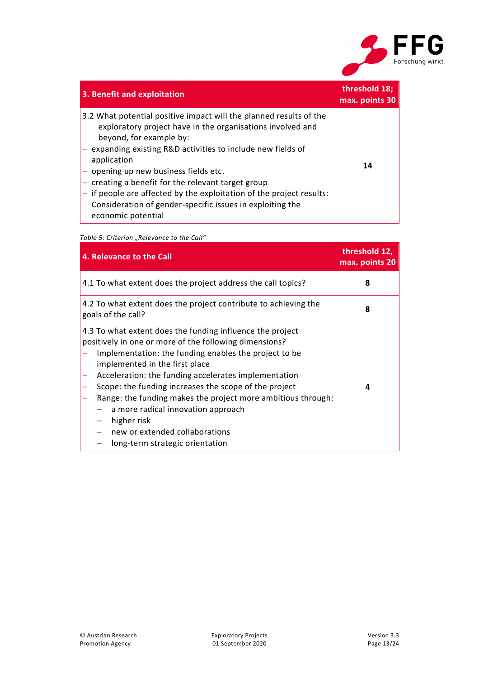

| 3. Benefit and exploitation                                                                                                                                                                                                                                                                                                                                                                                                                                                                        | threshold 18;<br>max. points 30 |
|----------------------------------------------------------------------------------------------------------------------------------------------------------------------------------------------------------------------------------------------------------------------------------------------------------------------------------------------------------------------------------------------------------------------------------------------------------------------------------------------------|---------------------------------|
| 3.2 What potential positive impact will the planned results of the<br>exploratory project have in the organisations involved and<br>beyond, for example by:<br>- expanding existing R&D activities to include new fields of<br>application<br>- opening up new business fields etc.<br>- creating a benefit for the relevant target group<br>if people are affected by the exploitation of the project results:<br>Consideration of gender-specific issues in exploiting the<br>economic potential | 14                              |

<span id="page-12-0"></span>**Table 5**: Criterion "Relevance to the Call"

| 4. Relevance to the Call                                                                                                                                                                                                                                                                                                                                                                                                                                                                                                  | threshold 12,<br>max. points 20 |
|---------------------------------------------------------------------------------------------------------------------------------------------------------------------------------------------------------------------------------------------------------------------------------------------------------------------------------------------------------------------------------------------------------------------------------------------------------------------------------------------------------------------------|---------------------------------|
| 4.1 To what extent does the project address the call topics?                                                                                                                                                                                                                                                                                                                                                                                                                                                              | 8                               |
| 4.2 To what extent does the project contribute to achieving the<br>goals of the call?                                                                                                                                                                                                                                                                                                                                                                                                                                     | 8                               |
| 4.3 To what extent does the funding influence the project<br>positively in one or more of the following dimensions?<br>Implementation: the funding enables the project to be<br>implemented in the first place<br>Acceleration: the funding accelerates implementation<br>Scope: the funding increases the scope of the project<br>Range: the funding makes the project more ambitious through:<br>a more radical innovation approach<br>higher risk<br>new or extended collaborations<br>long-term strategic orientation | 4                               |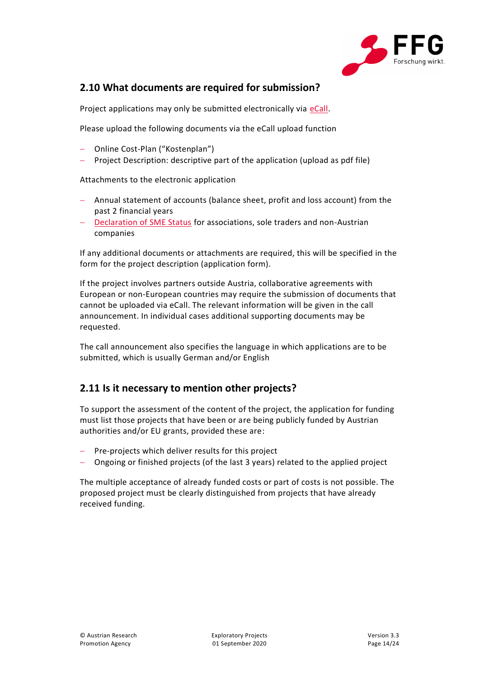

#### <span id="page-13-0"></span>**2.10 What documents are required for submission?**

Project applications may only be submitted electronically via [eCall.](https://ecall.ffg.at/)

Please upload the following documents via the eCall upload function

- Online Cost-Plan ("Kostenplan")
- Project Description: descriptive part of the application (upload as pdf file)

Attachments to the electronic application

- Annual statement of accounts (balance sheet, profit and loss account) from the past 2 financial years
- [Declaration of SME Status](https://www.ffg.at/sites/default/files/downloads/page/e_eidesstatt_erklaerung_kmu-status_0.pdf) for associations, sole traders and non-Austrian companies

If any additional documents or attachments are required, this will be specified in the form for the project description (application form).

If the project involves partners outside Austria, collaborative agreements with European or non-European countries may require the submission of documents that cannot be uploaded via eCall. The relevant information will be given in the call announcement. In individual cases additional supporting documents may be requested.

The call announcement also specifies the language in which applications are to be submitted, which is usually German and/or English

#### <span id="page-13-1"></span>**2.11 Is it necessary to mention other projects?**

To support the assessment of the content of the project, the application for funding must list those projects that have been or are being publicly funded by Austrian authorities and/or EU grants, provided these are:

- Pre-projects which deliver results for this project
- Ongoing or finished projects (of the last 3 years) related to the applied project

The multiple acceptance of already funded costs or part of costs is not possible. The proposed project must be clearly distinguished from projects that have already received funding.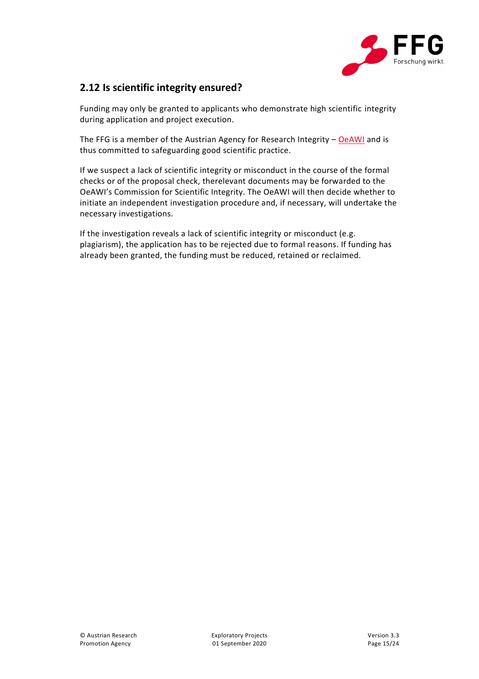

#### <span id="page-14-0"></span>**2.12 Is scientific integrity ensured?**

Funding may only be granted to applicants who demonstrate high scientific integrity during application and project execution.

The FFG is a member of the Austrian Agency for Research Integrity - [OeAWI](https://oeawi.at/en/statutes-3/) and is thus committed to safeguarding good scientific practice.

If we suspect a lack of scientific integrity or misconduct in the course of the formal checks or of the proposal check, therelevant documents may be forwarded to the OeAWI's Commission for Scientific Integrity. The OeAWI will then decide whether to initiate an independent investigation procedure and, if necessary, will undertake the necessary investigations.

If the investigation reveals a lack of scientific integrity or misconduct (e.g. plagiarism), the application has to be rejected due to formal reasons. If funding has already been granted, the funding must be reduced, retained or reclaimed.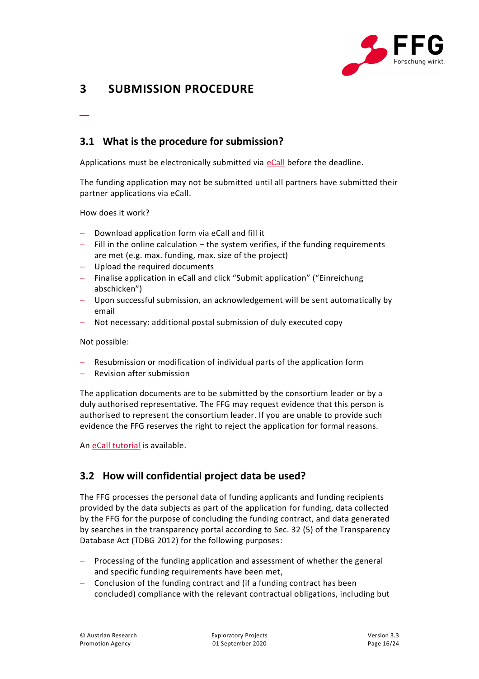

# <span id="page-15-0"></span>**3 SUBMISSION PROCEDURE**

#### <span id="page-15-1"></span>**3.1 What is the procedure for submission?**

Applications must be electronically submitted via [eCall](https://ecall.ffg.at/) before the deadline.

The funding application may not be submitted until all partners have submitted their partner applications via eCall.

How does it work?

\_

- Download application form via eCall and fill it
- $-$  Fill in the online calculation  $-$  the system verifies, if the funding requirements are met (e.g. max. funding, max. size of the project)
- Upload the required documents
- Finalise application in eCall and click "Submit application" ("Einreichung abschicken")
- Upon successful submission, an acknowledgement will be sent automatically by email
- Not necessary: additional postal submission of duly executed copy

Not possible:

- Resubmission or modification of individual parts of the application form
- Revision after submission

The application documents are to be submitted by the consortium leader or by a duly authorised representative. The FFG may request evidence that this person is authorised to represent the consortium leader. If you are unable to provide such evidence the FFG reserves the right to reject the application for formal reasons.

An [eCall tutorial](https://ecall.ffg.at/tutorial) is available.

#### <span id="page-15-2"></span>**3.2 How will confidential project data be used?**

The FFG processes the personal data of funding applicants and funding recipients provided by the data subjects as part of the application for funding, data collected by the FFG for the purpose of concluding the funding contract, and data generated by searches in the transparency portal according to Sec. 32 (5) of the Transparency Database Act (TDBG 2012) for the following purposes:

- Processing of the funding application and assessment of whether the general and specific funding requirements have been met,
- Conclusion of the funding contract and (if a funding contract has been concluded) compliance with the relevant contractual obligations, including but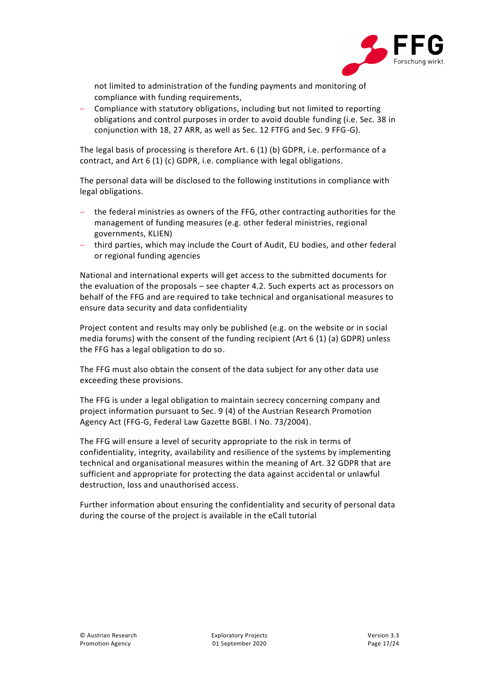

not limited to administration of the funding payments and monitoring of compliance with funding requirements,

 Compliance with statutory obligations, including but not limited to reporting obligations and control purposes in order to avoid double funding (i.e. Sec. 38 in conjunction with 18, 27 ARR, as well as Sec. 12 FTFG and Sec. 9 FFG-G).

The legal basis of processing is therefore Art. 6 (1) (b) GDPR, i.e. performance of a contract, and Art 6 (1) (c) GDPR, i.e. compliance with legal obligations.

The personal data will be disclosed to the following institutions in compliance with legal obligations.

- the federal ministries as owners of the FFG, other contracting authorities for the management of funding measures (e.g. other federal ministries, regional governments, KLIEN)
- third parties, which may include the Court of Audit, EU bodies, and other federal or regional funding agencies

National and international experts will get access to the submitted documents for the evaluation of the proposals – see chapter 4.2. Such experts act as processors on behalf of the FFG and are required to take technical and organisational measures to ensure data security and data confidentiality

Project content and results may only be published (e.g. on the website or in social media forums) with the consent of the funding recipient (Art 6 (1) (a) GDPR) unless the FFG has a legal obligation to do so.

The FFG must also obtain the consent of the data subject for any other data use exceeding these provisions.

The FFG is under a legal obligation to maintain secrecy concerning company and project information pursuant to Sec. 9 (4) of the Austrian Research Promotion Agency Act (FFG-G, Federal Law Gazette BGBl. I No. 73/2004).

The FFG will ensure a level of security appropriate to the risk in terms of confidentiality, integrity, availability and resilience of the systems by implementing technical and organisational measures within the meaning of Art. 32 GDPR that are sufficient and appropriate for protecting the data against accidental or unlawful destruction, loss and unauthorised access.

Further information about ensuring the confidentiality and security of personal data during the course of the project is available in the eCall tutorial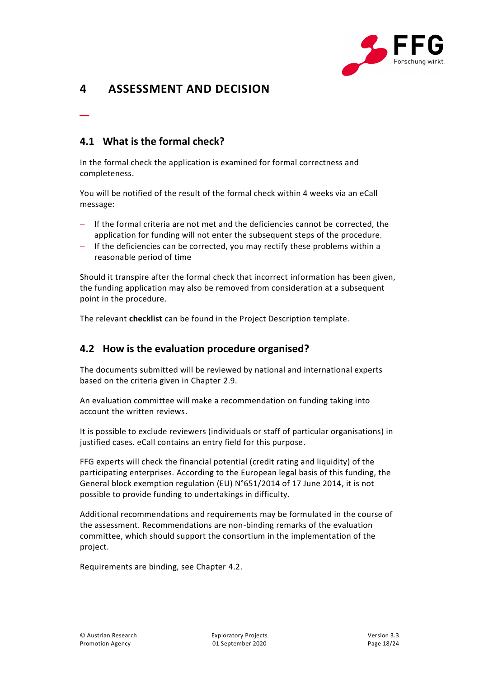

# <span id="page-17-0"></span>**4 ASSESSMENT AND DECISION**

#### <span id="page-17-1"></span>**4.1 What is the formal check?**

\_

In the formal check the application is examined for formal correctness and completeness.

You will be notified of the result of the formal check within 4 weeks via an eCall message:

- If the formal criteria are not met and the deficiencies cannot be corrected, the application for funding will not enter the subsequent steps of the procedure.
- If the deficiencies can be corrected, you may rectify these problems within a reasonable period of time

Should it transpire after the formal check that incorrect information has been given, the funding application may also be removed from consideration at a subsequent point in the procedure.

The relevant **checklist** can be found in the Project Description template.

#### <span id="page-17-2"></span>**4.2 How is the evaluation procedure organised?**

The documents submitted will be reviewed by national and international experts based on the criteria given in Chapter [2.9.](#page-10-0)

An evaluation committee will make a recommendation on funding taking into account the written reviews.

It is possible to exclude reviewers (individuals or staff of particular organisations) in justified cases. eCall contains an entry field for this purpose.

FFG experts will check the financial potential (credit rating and liquidity) of the participating enterprises. According to the European legal basis of this funding, the General block exemption regulation (EU) N°651/2014 of 17 June 2014, it is not possible to provide funding to undertakings in difficulty.

Additional recommendations and requirements may be formulated in the course of the assessment. Recommendations are non-binding remarks of the evaluation committee, which should support the consortium in the implementation of the project.

Requirements are binding, see Chapter [4.2.](#page-17-2)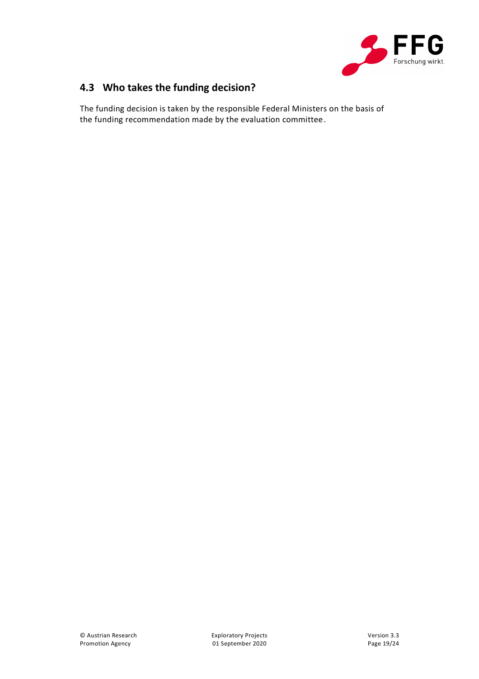

# <span id="page-18-0"></span>**4.3 Who takes the funding decision?**

The funding decision is taken by the responsible Federal Ministers on the basis of the funding recommendation made by the evaluation committee.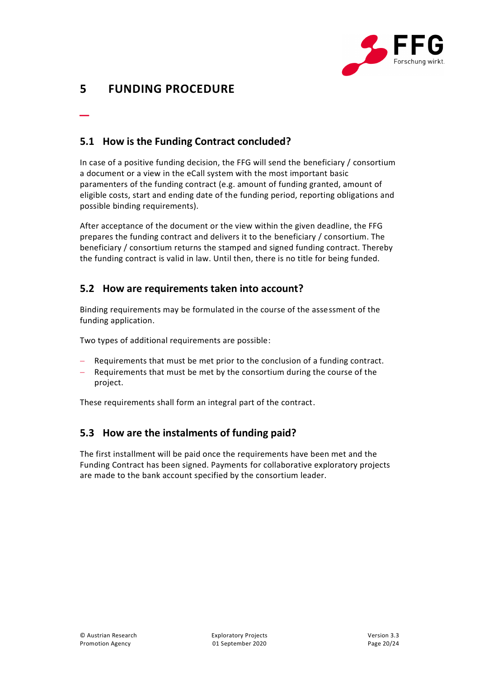

# <span id="page-19-0"></span>**5 FUNDING PROCEDURE**

\_

#### <span id="page-19-1"></span>**5.1 How is the Funding Contract concluded?**

In case of a positive funding decision, the FFG will send the beneficiary / consortium a document or a view in the eCall system with the most important basic paramenters of the funding contract (e.g. amount of funding granted, amount of eligible costs, start and ending date of the funding period, reporting obligations and possible binding requirements).

After acceptance of the document or the view within the given deadline, the FFG prepares the funding contract and delivers it to the beneficiary / consortium. The beneficiary / consortium returns the stamped and signed funding contract. Thereby the funding contract is valid in law. Until then, there is no title for being funded.

#### <span id="page-19-2"></span>**5.2 How are requirements taken into account?**

Binding requirements may be formulated in the course of the assessment of the funding application.

Two types of additional requirements are possible:

- Requirements that must be met prior to the conclusion of a funding contract.
- Requirements that must be met by the consortium during the course of the project.

These requirements shall form an integral part of the contract.

#### <span id="page-19-3"></span>**5.3 How are the instalments of funding paid?**

The first installment will be paid once the requirements have been met and the Funding Contract has been signed. Payments for collaborative exploratory projects are made to the bank account specified by the consortium leader.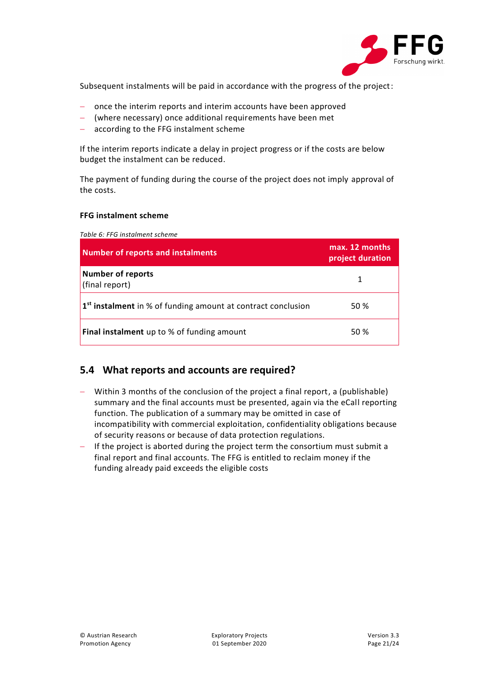

Subsequent instalments will be paid in accordance with the progress of the project:

- once the interim reports and interim accounts have been approved
- (where necessary) once additional requirements have been met
- according to the FFG instalment scheme

If the interim reports indicate a delay in project progress or if the costs are below budget the instalment can be reduced.

The payment of funding during the course of the project does not imply approval of the costs.

#### **FFG instalment scheme**

<span id="page-20-1"></span>*Table 6: FFG instalment scheme*

| <b>Number of reports and instalments</b>                                 | max. 12 months<br>project duration |
|--------------------------------------------------------------------------|------------------------------------|
| <b>Number of reports</b><br>(final report)                               |                                    |
| 1 <sup>st</sup> instalment in % of funding amount at contract conclusion | 50 %                               |
| Final instalment up to % of funding amount                               | 50 %                               |

#### <span id="page-20-0"></span>**5.4 What reports and accounts are required?**

- Within 3 months of the conclusion of the project a final report, a (publishable) summary and the final accounts must be presented, again via the eCall reporting function. The publication of a summary may be omitted in case of incompatibility with commercial exploitation, confidentiality obligations because of security reasons or because of data protection regulations.
- $-$  If the project is aborted during the project term the consortium must submit a final report and final accounts. The FFG is entitled to reclaim money if the funding already paid exceeds the eligible costs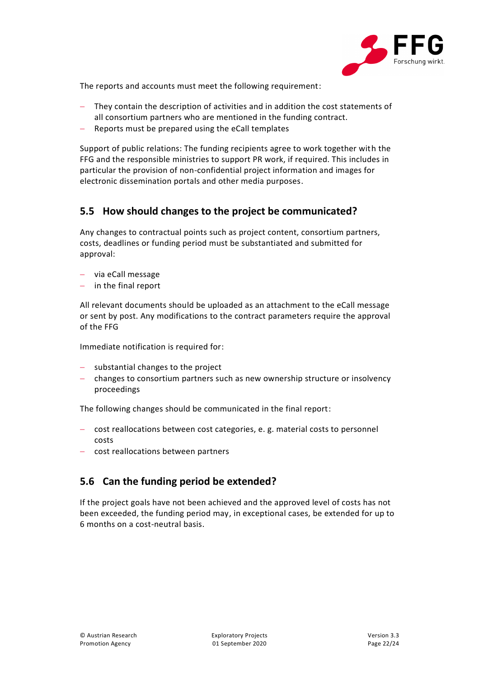

The reports and accounts must meet the following requirement:

- They contain the description of activities and in addition the cost statements of all consortium partners who are mentioned in the funding contract.
- Reports must be prepared using the eCall templates

Support of public relations: The funding recipients agree to work together with the FFG and the responsible ministries to support PR work, if required. This includes in particular the provision of non-confidential project information and images for electronic dissemination portals and other media purposes.

#### <span id="page-21-0"></span>**5.5 How should changes to the project be communicated?**

Any changes to contractual points such as project content, consortium partners, costs, deadlines or funding period must be substantiated and submitted for approval:

- via eCall message
- $-$  in the final report

All relevant documents should be uploaded as an attachment to the eCall message or sent by post. Any modifications to the contract parameters require the approval of the FFG

Immediate notification is required for:

- $-$  substantial changes to the project
- changes to consortium partners such as new ownership structure or insolvency proceedings

The following changes should be communicated in the final report:

- cost reallocations between cost categories, e. g. material costs to personnel costs
- cost reallocations between partners

#### <span id="page-21-1"></span>**5.6 Can the funding period be extended?**

If the project goals have not been achieved and the approved level of costs has not been exceeded, the funding period may, in exceptional cases, be extended for up to 6 months on a cost-neutral basis.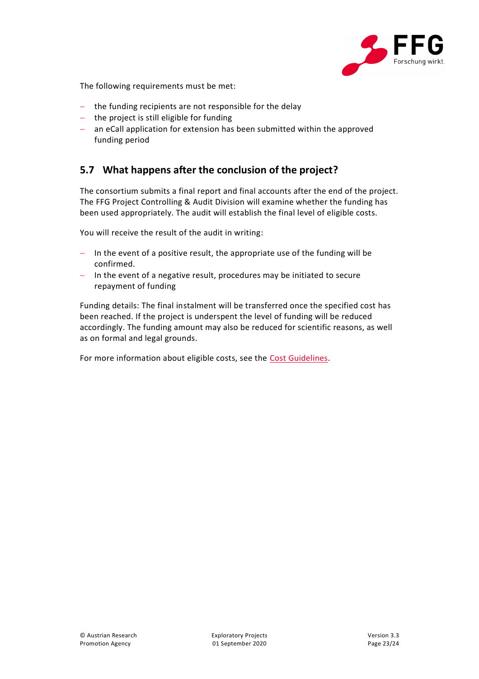

The following requirements must be met:

- $-$  the funding recipients are not responsible for the delay
- $-$  the project is still eligible for funding
- an eCall application for extension has been submitted within the approved funding period

#### <span id="page-22-0"></span>**5.7 What happens after the conclusion of the project?**

The consortium submits a final report and final accounts after the end of the project. The FFG Project Controlling & Audit Division will examine whether the funding has been used appropriately. The audit will establish the final level of eligible costs.

You will receive the result of the audit in writing:

- $-$  In the event of a positive result, the appropriate use of the funding will be confirmed.
- $-$  In the event of a negative result, procedures may be initiated to secure repayment of funding

Funding details: The final instalment will be transferred once the specified cost has been reached. If the project is underspent the level of funding will be reduced accordingly. The funding amount may also be reduced for scientific reasons, as well as on formal and legal grounds.

For more information about eligible costs, see the [Cost Guidelines.](https://www.ffg.at/recht-finanzen/kostenleitfaden)